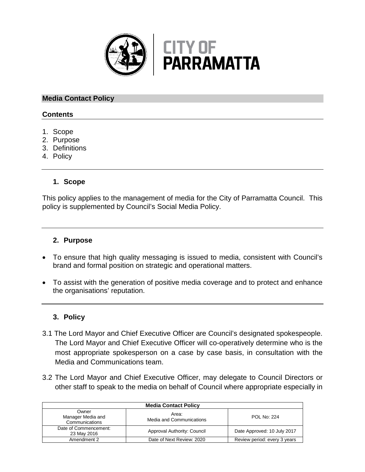

## **Media Contact Policy**

## **Contents**

- 1. Scope
- 2. Purpose
- 3. Definitions
- 4. Policy

# **1. Scope**

This policy applies to the management of media for the City of Parramatta Council. This policy is supplemented by Council's Social Media Policy.

### **2. Purpose**

- To ensure that high quality messaging is issued to media, consistent with Council's brand and formal position on strategic and operational matters.
- To assist with the generation of positive media coverage and to protect and enhance the organisations' reputation.

# **3. Policy**

- 3.1 The Lord Mayor and Chief Executive Officer are Council's designated spokespeople. The Lord Mayor and Chief Executive Officer will co-operatively determine who is the most appropriate spokesperson on a case by case basis, in consultation with the Media and Communications team.
- 3.2 The Lord Mayor and Chief Executive Officer, may delegate to Council Directors or other staff to speak to the media on behalf of Council where appropriate especially in

| <b>Media Contact Policy</b>                  |                                   |                              |  |
|----------------------------------------------|-----------------------------------|------------------------------|--|
| Owner<br>Manager Media and<br>Communications | Area:<br>Media and Communications | <b>POL No: 224</b>           |  |
| Date of Commencement:<br>23 May 2016         | Approval Authority: Council       | Date Approved: 10 July 2017  |  |
| Amendment 2                                  | Date of Next Review: 2020         | Review period: every 3 years |  |